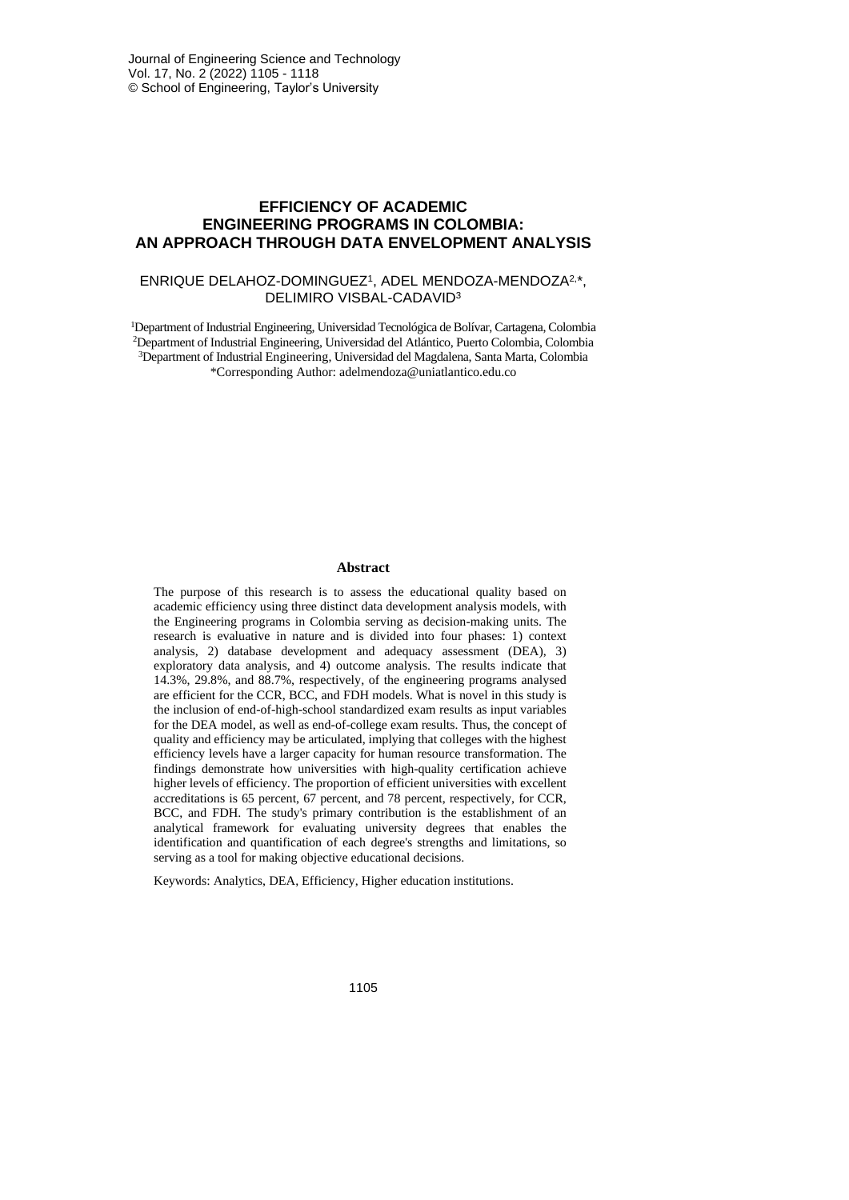# **EFFICIENCY OF ACADEMIC ENGINEERING PROGRAMS IN COLOMBIA: AN APPROACH THROUGH DATA ENVELOPMENT ANALYSIS**

#### ENRIQUE DELAHOZ-DOMINGUEZ<sup>1</sup>, ADEL MENDOZA-MENDOZA<sup>2,\*</sup>, DELIMIRO VISBAL-CADAVID<sup>3</sup>

Department of Industrial Engineering, Universidad Tecnológica de Bolívar, Cartagena, Colombia Department of Industrial Engineering, Universidad del Atlántico, Puerto Colombia, Colombia Department of Industrial Engineering, Universidad del Magdalena, Santa Marta, Colombia \*Corresponding Author: [adelmendoza@uniatlantico.edu.co](mailto:adelmendoza@uniatlantico.edu.co)

### **Abstract**

The purpose of this research is to assess the educational quality based on academic efficiency using three distinct data development analysis models, with the Engineering programs in Colombia serving as decision-making units. The research is evaluative in nature and is divided into four phases: 1) context analysis, 2) database development and adequacy assessment (DEA), 3) exploratory data analysis, and 4) outcome analysis. The results indicate that 14.3%, 29.8%, and 88.7%, respectively, of the engineering programs analysed are efficient for the CCR, BCC, and FDH models. What is novel in this study is the inclusion of end-of-high-school standardized exam results as input variables for the DEA model, as well as end-of-college exam results. Thus, the concept of quality and efficiency may be articulated, implying that colleges with the highest efficiency levels have a larger capacity for human resource transformation. The findings demonstrate how universities with high-quality certification achieve higher levels of efficiency. The proportion of efficient universities with excellent accreditations is 65 percent, 67 percent, and 78 percent, respectively, for CCR, BCC, and FDH. The study's primary contribution is the establishment of an analytical framework for evaluating university degrees that enables the identification and quantification of each degree's strengths and limitations, so serving as a tool for making objective educational decisions.

Keywords: Analytics, DEA, Efficiency, Higher education institutions.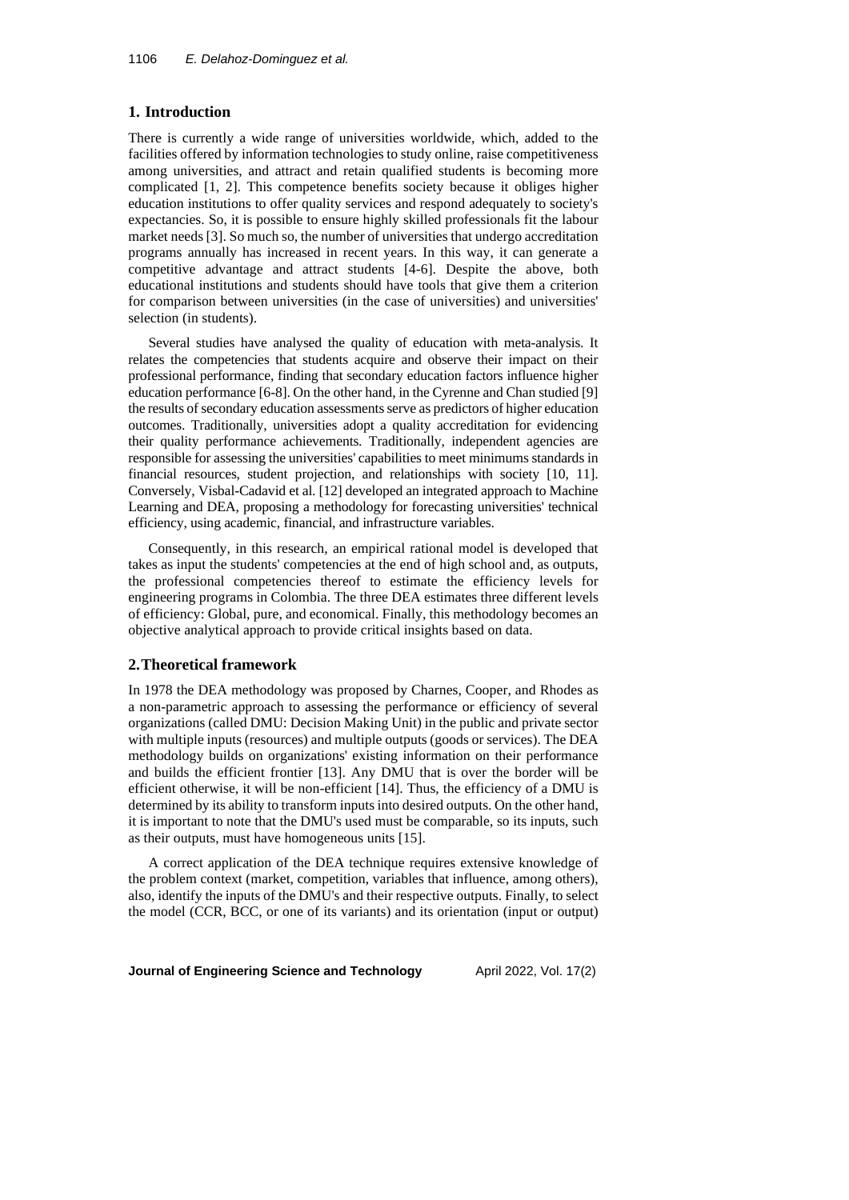## **1. Introduction**

There is currently a wide range of universities worldwide, which, added to the facilities offered by information technologies to study online, raise competitiveness among universities, and attract and retain qualified students is becoming more complicated [1, 2]. This competence benefits society because it obliges higher education institutions to offer quality services and respond adequately to society's expectancies. So, it is possible to ensure highly skilled professionals fit the labour market needs[3]. So much so, the number of universities that undergo accreditation programs annually has increased in recent years. In this way, it can generate a competitive advantage and attract students [4-6]. Despite the above, both educational institutions and students should have tools that give them a criterion for comparison between universities (in the case of universities) and universities' selection (in students).

Several studies have analysed the quality of education with meta-analysis. It relates the competencies that students acquire and observe their impact on their professional performance, finding that secondary education factors influence higher education performance [6-8]. On the other hand, in the Cyrenne and Chan studied [9] the results of secondary education assessments serve as predictors of higher education outcomes. Traditionally, universities adopt a quality accreditation for evidencing their quality performance achievements. Traditionally, independent agencies are responsible for assessing the universities' capabilities to meet minimums standards in financial resources, student projection, and relationships with society [10, 11]. Conversely, Visbal-Cadavid et al. [12] developed an integrated approach to Machine Learning and DEA, proposing a methodology for forecasting universities' technical efficiency, using academic, financial, and infrastructure variables.

Consequently, in this research, an empirical rational model is developed that takes as input the students' competencies at the end of high school and, as outputs, the professional competencies thereof to estimate the efficiency levels for engineering programs in Colombia. The three DEA estimates three different levels of efficiency: Global, pure, and economical. Finally, this methodology becomes an objective analytical approach to provide critical insights based on data.

## **2.Theoretical framework**

In 1978 the DEA methodology was proposed by Charnes, Cooper, and Rhodes as a non-parametric approach to assessing the performance or efficiency of several organizations (called DMU: Decision Making Unit) in the public and private sector with multiple inputs (resources) and multiple outputs (goods or services). The DEA methodology builds on organizations' existing information on their performance and builds the efficient frontier [13]. Any DMU that is over the border will be efficient otherwise, it will be non-efficient [14]. Thus, the efficiency of a DMU is determined by its ability to transform inputs into desired outputs. On the other hand, it is important to note that the DMU's used must be comparable, so its inputs, such as their outputs, must have homogeneous units [15].

A correct application of the DEA technique requires extensive knowledge of the problem context (market, competition, variables that influence, among others), also, identify the inputs of the DMU's and their respective outputs. Finally, to select the model (CCR, BCC, or one of its variants) and its orientation (input or output)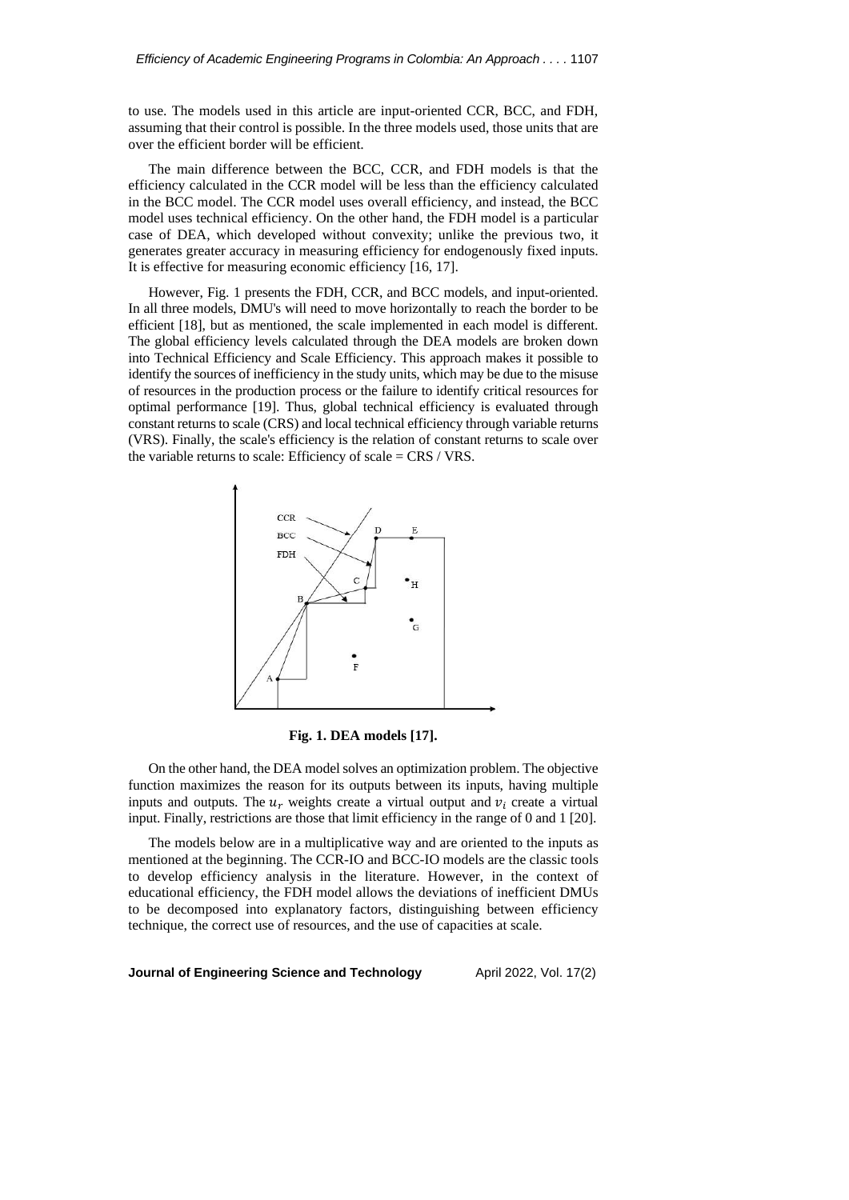to use. The models used in this article are input-oriented CCR, BCC, and FDH, assuming that their control is possible. In the three models used, those units that are over the efficient border will be efficient.

The main difference between the BCC, CCR, and FDH models is that the efficiency calculated in the CCR model will be less than the efficiency calculated in the BCC model. The CCR model uses overall efficiency, and instead, the BCC model uses technical efficiency. On the other hand, the FDH model is a particular case of DEA, which developed without convexity; unlike the previous two, it generates greater accuracy in measuring efficiency for endogenously fixed inputs. It is effective for measuring economic efficiency [16, 17].

However, Fig. 1 presents the FDH, CCR, and BCC models, and input-oriented. In all three models, DMU's will need to move horizontally to reach the border to be efficient [18], but as mentioned, the scale implemented in each model is different. The global efficiency levels calculated through the DEA models are broken down into Technical Efficiency and Scale Efficiency. This approach makes it possible to identify the sources of inefficiency in the study units, which may be due to the misuse of resources in the production process or the failure to identify critical resources for optimal performance [19]. Thus, global technical efficiency is evaluated through constant returns to scale (CRS) and local technical efficiency through variable returns (VRS). Finally, the scale's efficiency is the relation of constant returns to scale over the variable returns to scale: Efficiency of scale = CRS / VRS.



**Fig. 1. DEA models [17].**

On the other hand, the DEA model solves an optimization problem. The objective function maximizes the reason for its outputs between its inputs, having multiple inputs and outputs. The  $u_r$  weights create a virtual output and  $v_i$  create a virtual input. Finally, restrictions are those that limit efficiency in the range of 0 and 1 [20].

The models below are in a multiplicative way and are oriented to the inputs as mentioned at the beginning. The CCR-IO and BCC-IO models are the classic tools to develop efficiency analysis in the literature. However, in the context of educational efficiency, the FDH model allows the deviations of inefficient DMUs to be decomposed into explanatory factors, distinguishing between efficiency technique, the correct use of resources, and the use of capacities at scale.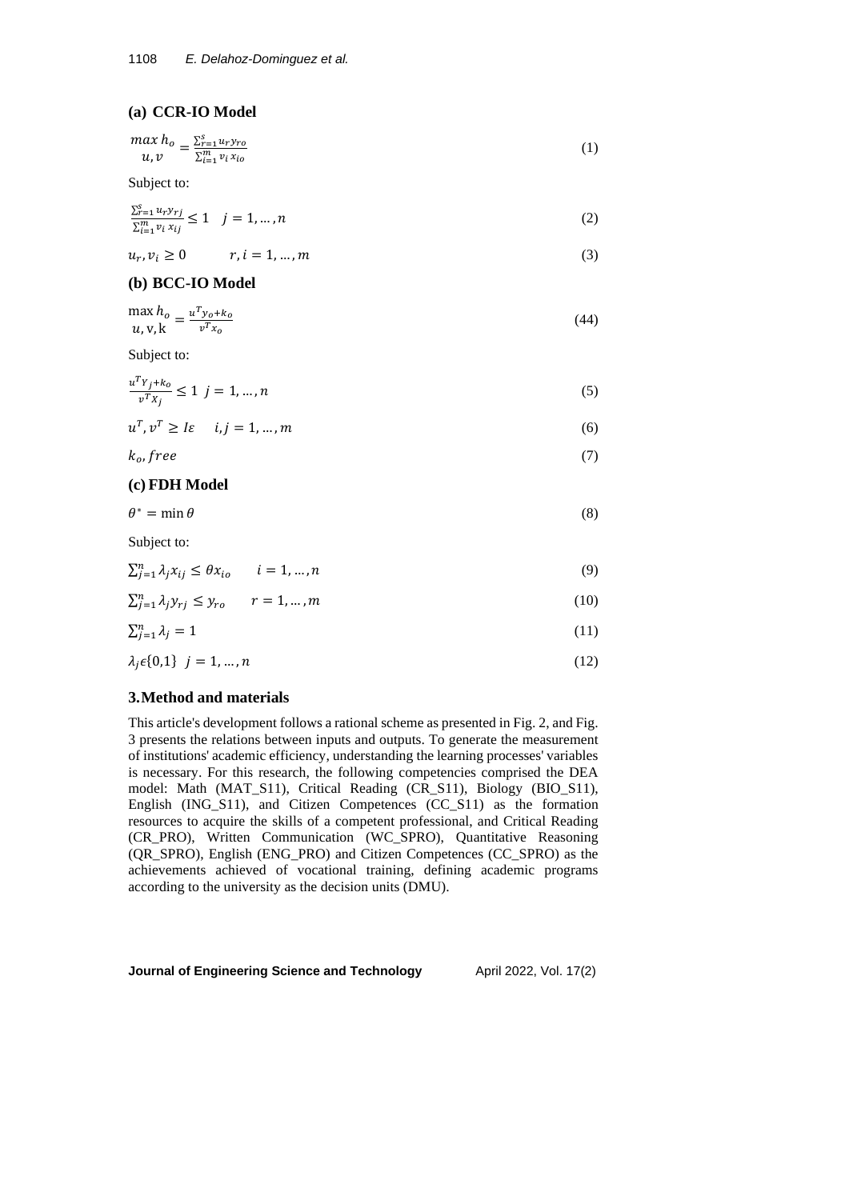### **(a) CCR-IO Model**

$$
\begin{array}{l} \n\max h_o = \frac{\sum_{r=1}^{S} u_r y_{ro}}{\sum_{i=1}^{m} v_i x_{io}} \n\end{array} \n\tag{1}
$$

Subject to:

$$
\frac{\sum_{r=1}^{s} u_r y_{rj}}{\sum_{i=1}^{m} v_i x_{ij}} \le 1 \quad j = 1, \dots, n
$$
\n(2)

$$
u_r, v_i \ge 0 \qquad r, i = 1, \dots, m \tag{3}
$$

# **(b) BCC-IO Model**

$$
\max_{u,v,k} h_o = \frac{u^T y_o + k_o}{v^T x_o} \tag{44}
$$

Subject to:

$$
\frac{u^T Y_j + k_o}{v^T X_j} \le 1 \ \ j = 1, \dots, n \tag{5}
$$

$$
u^T, v^T \ge l\varepsilon \qquad i, j = 1, \dots, m \tag{6}
$$

 $k_o$ , free (7)

# **(c) FDH Model**

 $\theta^* = \min \theta$  $* = \min \theta$  (8)

Subject to:

$$
\sum_{j=1}^{n} \lambda_j x_{ij} \le \theta x_{io} \qquad i = 1, \dots, n \tag{9}
$$

$$
\sum_{j=1}^{n} \lambda_j y_{rj} \le y_{ro} \qquad r = 1, \dots, m \tag{10}
$$

$$
\sum_{j=1}^{n} \lambda_j = 1 \tag{11}
$$

$$
\lambda_j \epsilon \{0,1\} \quad j=1,\dots,n \tag{12}
$$

# **3.Method and materials**

This article's development follows a rational scheme as presented in Fig. 2, and Fig. 3 presents the relations between inputs and outputs. To generate the measurement of institutions' academic efficiency, understanding the learning processes' variables is necessary. For this research, the following competencies comprised the DEA model: Math (MAT\_S11), Critical Reading (CR\_S11), Biology (BIO\_S11), English (ING\_S11), and Citizen Competences (CC\_S11) as the formation resources to acquire the skills of a competent professional, and Critical Reading (CR\_PRO), Written Communication (WC\_SPRO), Quantitative Reasoning (QR\_SPRO), English (ENG\_PRO) and Citizen Competences (CC\_SPRO) as the achievements achieved of vocational training, defining academic programs according to the university as the decision units (DMU).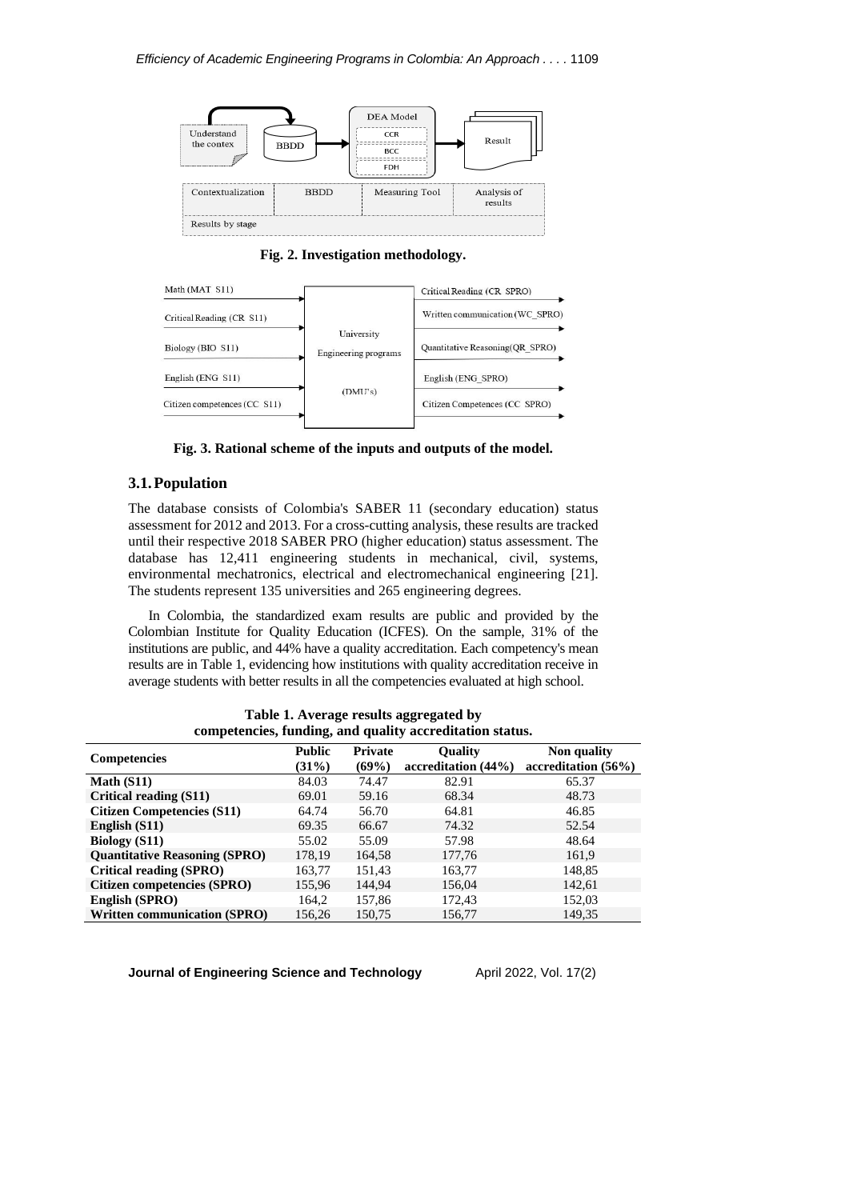

**Fig. 2. Investigation methodology.**



**Fig. 3. Rational scheme of the inputs and outputs of the model.**

## **3.1.Population**

The database consists of Colombia's SABER 11 (secondary education) status assessment for 2012 and 2013. For a cross-cutting analysis, these results are tracked until their respective 2018 SABER PRO (higher education) status assessment. The database has 12,411 engineering students in mechanical, civil, systems, environmental mechatronics, electrical and electromechanical engineering [21]. The students represent 135 universities and 265 engineering degrees.

In Colombia, the standardized exam results are public and provided by the Colombian Institute for Quality Education (ICFES). On the sample, 31% of the institutions are public, and 44% have a quality accreditation. Each competency's mean results are in Table 1, evidencing how institutions with quality accreditation receive in average students with better results in all the competencies evaluated at high school.

| competencies, funding, and quality accreditation status. |                        |                         |                                       |                                       |  |  |
|----------------------------------------------------------|------------------------|-------------------------|---------------------------------------|---------------------------------------|--|--|
| <b>Competencies</b>                                      | <b>Public</b><br>(31%) | <b>Private</b><br>(69%) | <b>Ouality</b><br>accreditation (44%) | Non quality<br>accreditation $(56\%)$ |  |  |
| Math $(S11)$                                             | 84.03                  | 74.47                   | 82.91                                 | 65.37                                 |  |  |
| Critical reading (S11)                                   | 69.01                  | 59.16                   | 68.34                                 | 48.73                                 |  |  |
| <b>Citizen Competencies (S11)</b>                        | 64.74                  | 56.70                   | 64.81                                 | 46.85                                 |  |  |
| English (S11)                                            | 69.35                  | 66.67                   | 74.32                                 | 52.54                                 |  |  |
| <b>Biology</b> (S11)                                     | 55.02                  | 55.09                   | 57.98                                 | 48.64                                 |  |  |
| <b>Quantitative Reasoning (SPRO)</b>                     | 178,19                 | 164,58                  | 177,76                                | 161,9                                 |  |  |
| Critical reading (SPRO)                                  | 163,77                 | 151,43                  | 163,77                                | 148,85                                |  |  |
| Citizen competencies (SPRO)                              | 155,96                 | 144,94                  | 156,04                                | 142,61                                |  |  |
| English (SPRO)                                           | 164,2                  | 157,86                  | 172,43                                | 152,03                                |  |  |
| <b>Written communication (SPRO)</b>                      | 156.26                 | 150,75                  | 156,77                                | 149.35                                |  |  |

**Table 1. Average results aggregated by competencies, funding, and quality accreditation status.**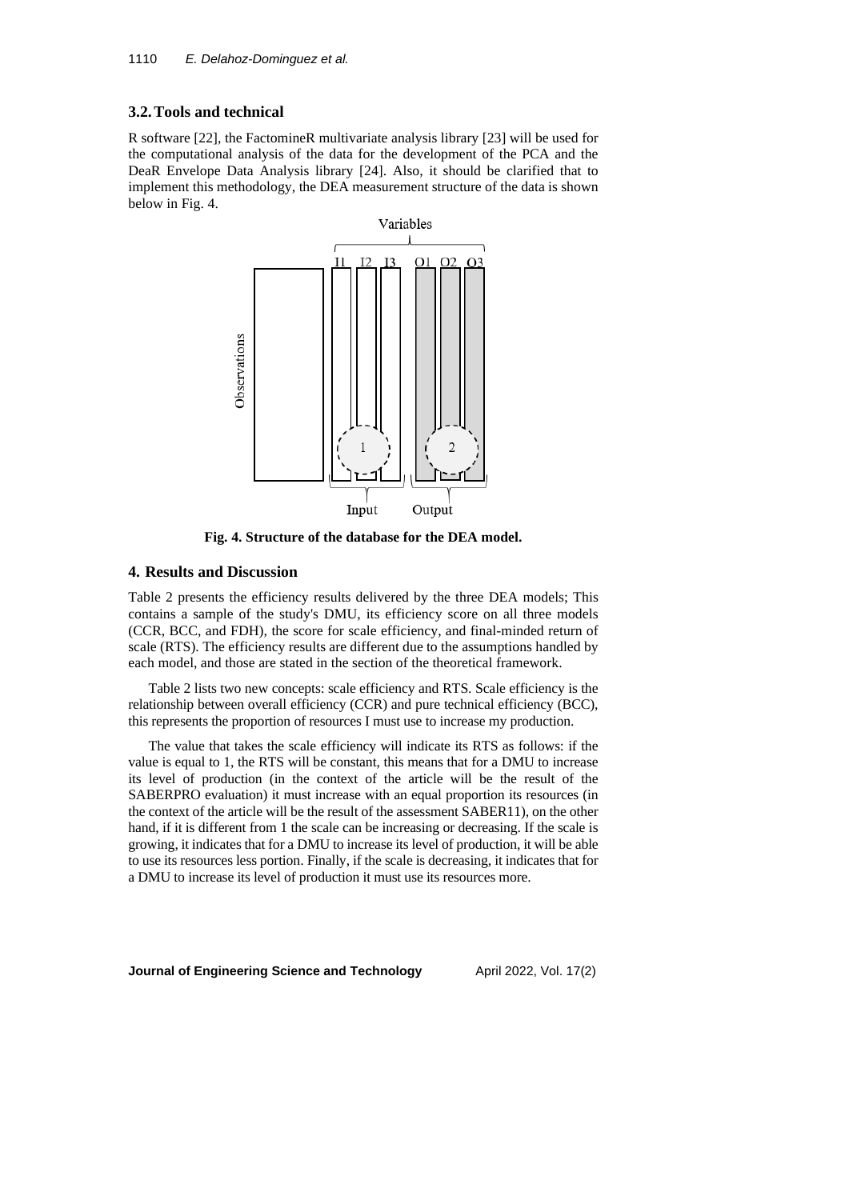### **3.2.Tools and technical**

R software [22], the FactomineR multivariate analysis library [23] will be used for the computational analysis of the data for the development of the PCA and the DeaR Envelope Data Analysis library [24]. Also, it should be clarified that to implement this methodology, the DEA measurement structure of the data is shown below in Fig. 4.



**Fig. 4. Structure of the database for the DEA model.**

### **4. Results and Discussion**

Table 2 presents the efficiency results delivered by the three DEA models; This contains a sample of the study's DMU, its efficiency score on all three models (CCR, BCC, and FDH), the score for scale efficiency, and final-minded return of scale (RTS). The efficiency results are different due to the assumptions handled by each model, and those are stated in the section of the theoretical framework.

Table 2 lists two new concepts: scale efficiency and RTS. Scale efficiency is the relationship between overall efficiency (CCR) and pure technical efficiency (BCC), this represents the proportion of resources I must use to increase my production.

The value that takes the scale efficiency will indicate its RTS as follows: if the value is equal to 1, the RTS will be constant, this means that for a DMU to increase its level of production (in the context of the article will be the result of the SABERPRO evaluation) it must increase with an equal proportion its resources (in the context of the article will be the result of the assessment SABER11), on the other hand, if it is different from 1 the scale can be increasing or decreasing. If the scale is growing, it indicates that for a DMU to increase its level of production, it will be able to use its resources less portion. Finally, if the scale is decreasing, it indicates that for a DMU to increase its level of production it must use its resources more.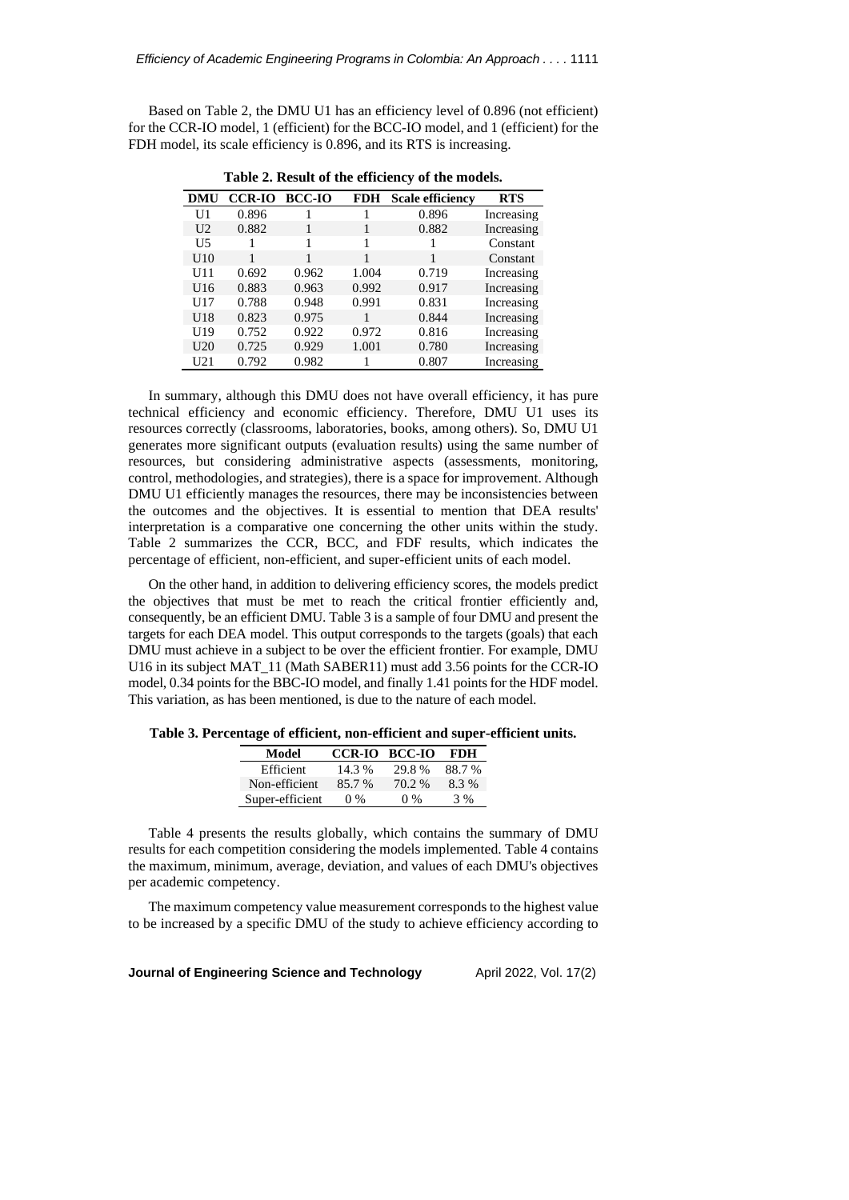Based on Table 2, the DMU U1 has an efficiency level of 0.896 (not efficient) for the CCR-IO model, 1 (efficient) for the BCC-IO model, and 1 (efficient) for the FDH model, its scale efficiency is 0.896, and its RTS is increasing.

| DMU            | <b>CCR-IO</b> | <b>BCC-IO</b> | <b>FDH</b> | <b>Scale efficiency</b> | <b>RTS</b> |
|----------------|---------------|---------------|------------|-------------------------|------------|
| U1             | 0.896         |               |            | 0.896                   | Increasing |
| U <sub>2</sub> | 0.882         | 1             | 1          | 0.882                   | Increasing |
| U5             |               |               |            |                         | Constant   |
| U10            | 1             |               | 1          | 1                       | Constant   |
| U11            | 0.692         | 0.962         | 1.004      | 0.719                   | Increasing |
| U16            | 0.883         | 0.963         | 0.992      | 0.917                   | Increasing |
| U17            | 0.788         | 0.948         | 0.991      | 0.831                   | Increasing |
| U18            | 0.823         | 0.975         |            | 0.844                   | Increasing |
| U19            | 0.752         | 0.922         | 0.972      | 0.816                   | Increasing |
| U20            | 0.725         | 0.929         | 1.001      | 0.780                   | Increasing |
| U21            | 0.792         | 0.982         |            | 0.807                   | Increasing |

**Table 2. Result of the efficiency of the models.**

In summary, although this DMU does not have overall efficiency, it has pure technical efficiency and economic efficiency. Therefore, DMU U1 uses its resources correctly (classrooms, laboratories, books, among others). So, DMU U1 generates more significant outputs (evaluation results) using the same number of resources, but considering administrative aspects (assessments, monitoring, control, methodologies, and strategies), there is a space for improvement. Although DMU U1 efficiently manages the resources, there may be inconsistencies between the outcomes and the objectives. It is essential to mention that DEA results' interpretation is a comparative one concerning the other units within the study. Table 2 summarizes the CCR, BCC, and FDF results, which indicates the percentage of efficient, non-efficient, and super-efficient units of each model.

On the other hand, in addition to delivering efficiency scores, the models predict the objectives that must be met to reach the critical frontier efficiently and, consequently, be an efficient DMU. Table 3 is a sample of four DMU and present the targets for each DEA model. This output corresponds to the targets (goals) that each DMU must achieve in a subject to be over the efficient frontier. For example, DMU U16 in its subject MAT\_11 (Math SABER11) must add 3.56 points for the CCR-IO model, 0.34 points for the BBC-IO model, and finally 1.41 points for the HDF model. This variation, as has been mentioned, is due to the nature of each model.

**Table 3. Percentage of efficient, non-efficient and super-efficient units.**

| Model           | CCR-IO BCC-IO |        | FDH   |
|-----------------|---------------|--------|-------|
| Efficient       | 14.3 %        | 29.8 % | 88.7% |
| Non-efficient   | 85.7 %        | 70.2%  | 8.3%  |
| Super-efficient | 0 %           | 0 %    | $3\%$ |

Table 4 presents the results globally, which contains the summary of DMU results for each competition considering the models implemented. Table 4 contains the maximum, minimum, average, deviation, and values of each DMU's objectives per academic competency.

The maximum competency value measurement corresponds to the highest value to be increased by a specific DMU of the study to achieve efficiency according to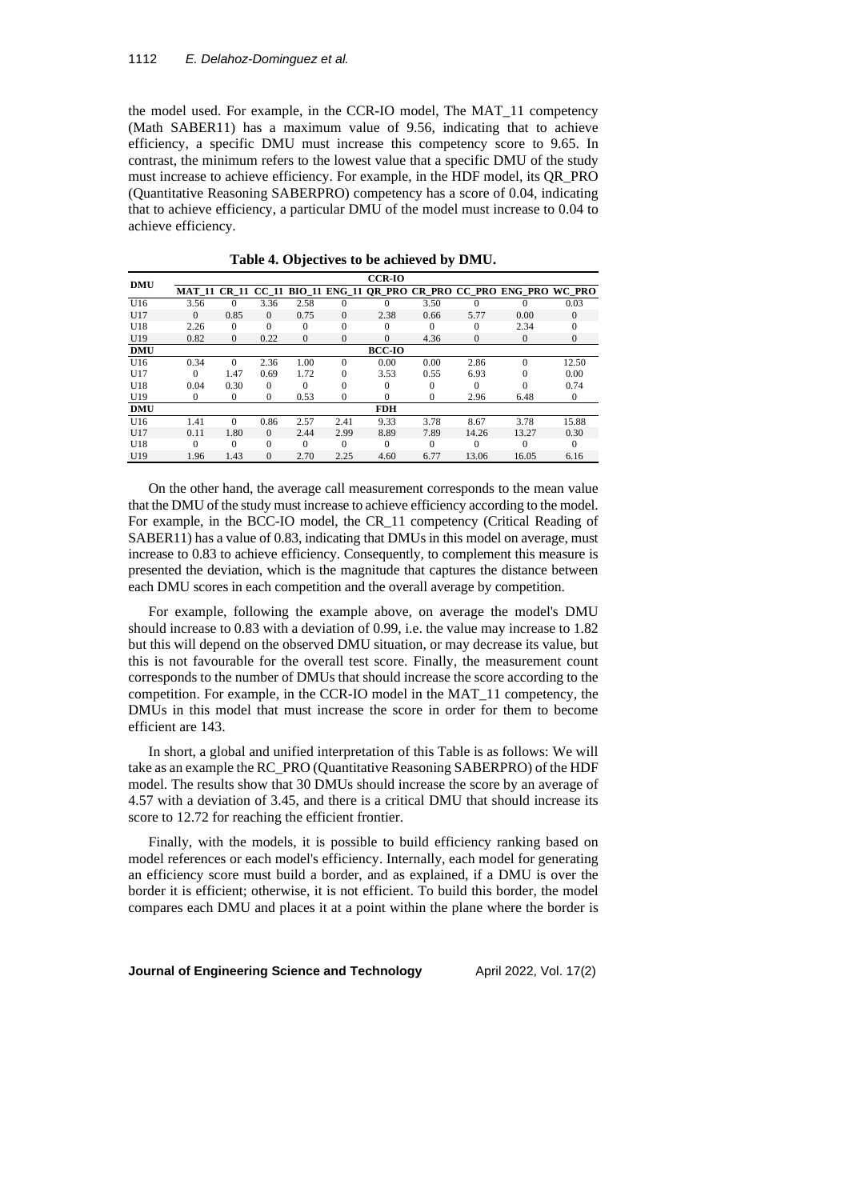#### 1112 *E. Delahoz-Dominguez et al.*

the model used. For example, in the CCR-IO model, The MAT\_11 competency (Math SABER11) has a maximum value of 9.56, indicating that to achieve efficiency, a specific DMU must increase this competency score to 9.65. In contrast, the minimum refers to the lowest value that a specific DMU of the study must increase to achieve efficiency. For example, in the HDF model, its QR\_PRO (Quantitative Reasoning SABERPRO) competency has a score of 0.04, indicating that to achieve efficiency, a particular DMU of the model must increase to 0.04 to achieve efficiency.

| <b>DMU</b> | <b>CCR-IO</b> |              |              |          |                |               |              |              |                                                                      |              |
|------------|---------------|--------------|--------------|----------|----------------|---------------|--------------|--------------|----------------------------------------------------------------------|--------------|
|            |               |              |              |          |                |               |              |              | MAT 11 CR 11 CC 11 BIO 11 ENG 11 OR PRO CR PRO CC PRO ENG PRO WC PRO |              |
| U16        | 3.56          | $\Omega$     | 3.36         | 2.58     | $\theta$       | 0             | 3.50         | $\Omega$     |                                                                      | 0.03         |
| U17        | $\Omega$      | 0.85         | $\Omega$     | 0.75     | $\mathbf{0}$   | 2.38          | 0.66         | 5.77         | 0.00                                                                 | $\Omega$     |
| U18        | 2.26          | $\Omega$     | $\Omega$     | $\theta$ | $\theta$       |               | $\Omega$     | $\Omega$     | 2.34                                                                 | $\Omega$     |
| U19        | 0.82          | $\mathbf{0}$ | 0.22         | $\theta$ | $\overline{0}$ | $\Omega$      | 4.36         | $\mathbf{0}$ | $\mathbf{0}$                                                         | $\mathbf{0}$ |
| <b>DMU</b> |               |              |              |          |                | <b>BCC-IO</b> |              |              |                                                                      |              |
| U16        | 0.34          | $\Omega$     | 2.36         | 1.00     | $\theta$       | 0.00          | 0.00         | 2.86         | $\Omega$                                                             | 12.50        |
| U17        | $\Omega$      | 1.47         | 0.69         | 1.72     | $\theta$       | 3.53          | 0.55         | 6.93         | $\Omega$                                                             | 0.00         |
| U18        | 0.04          | 0.30         | $\Omega$     | $\Omega$ | $\theta$       |               | $\Omega$     | $\Omega$     |                                                                      | 0.74         |
| U19        | 0             | 0            | $\mathbf{0}$ | 0.53     | 0              | $\Omega$      | $\mathbf{0}$ | 2.96         | 6.48                                                                 | 0            |
| <b>DMU</b> |               |              |              |          |                | <b>FDH</b>    |              |              |                                                                      |              |
| U16        | 1.41          | $\Omega$     | 0.86         | 2.57     | 2.41           | 9.33          | 3.78         | 8.67         | 3.78                                                                 | 15.88        |
| U17        | 0.11          | 1.80         | $\Omega$     | 2.44     | 2.99           | 8.89          | 7.89         | 14.26        | 13.27                                                                | 0.30         |
| U18        | $\Omega$      | $\Omega$     | $\Omega$     | $\Omega$ | $\Omega$       | 0             | $\Omega$     | $\Omega$     | $\Omega$                                                             | $\Omega$     |
| U19        | 1.96          | 1.43         | $\mathbf{0}$ | 2.70     | 2.25           | 4.60          | 6.77         | 13.06        | 16.05                                                                | 6.16         |

**Table 4. Objectives to be achieved by DMU.**

On the other hand, the average call measurement corresponds to the mean value that the DMU of the study must increase to achieve efficiency according to the model. For example, in the BCC-IO model, the CR\_11 competency (Critical Reading of SABER11) has a value of 0.83, indicating that DMUs in this model on average, must increase to 0.83 to achieve efficiency. Consequently, to complement this measure is presented the deviation, which is the magnitude that captures the distance between each DMU scores in each competition and the overall average by competition.

For example, following the example above, on average the model's DMU should increase to 0.83 with a deviation of 0.99, i.e. the value may increase to 1.82 but this will depend on the observed DMU situation, or may decrease its value, but this is not favourable for the overall test score. Finally, the measurement count corresponds to the number of DMUs that should increase the score according to the competition. For example, in the CCR-IO model in the MAT\_11 competency, the DMUs in this model that must increase the score in order for them to become efficient are 143.

In short, a global and unified interpretation of this Table is as follows: We will take as an example the RC\_PRO (Quantitative Reasoning SABERPRO) of the HDF model. The results show that 30 DMUs should increase the score by an average of 4.57 with a deviation of 3.45, and there is a critical DMU that should increase its score to 12.72 for reaching the efficient frontier.

Finally, with the models, it is possible to build efficiency ranking based on model references or each model's efficiency. Internally, each model for generating an efficiency score must build a border, and as explained, if a DMU is over the border it is efficient; otherwise, it is not efficient. To build this border, the model compares each DMU and places it at a point within the plane where the border is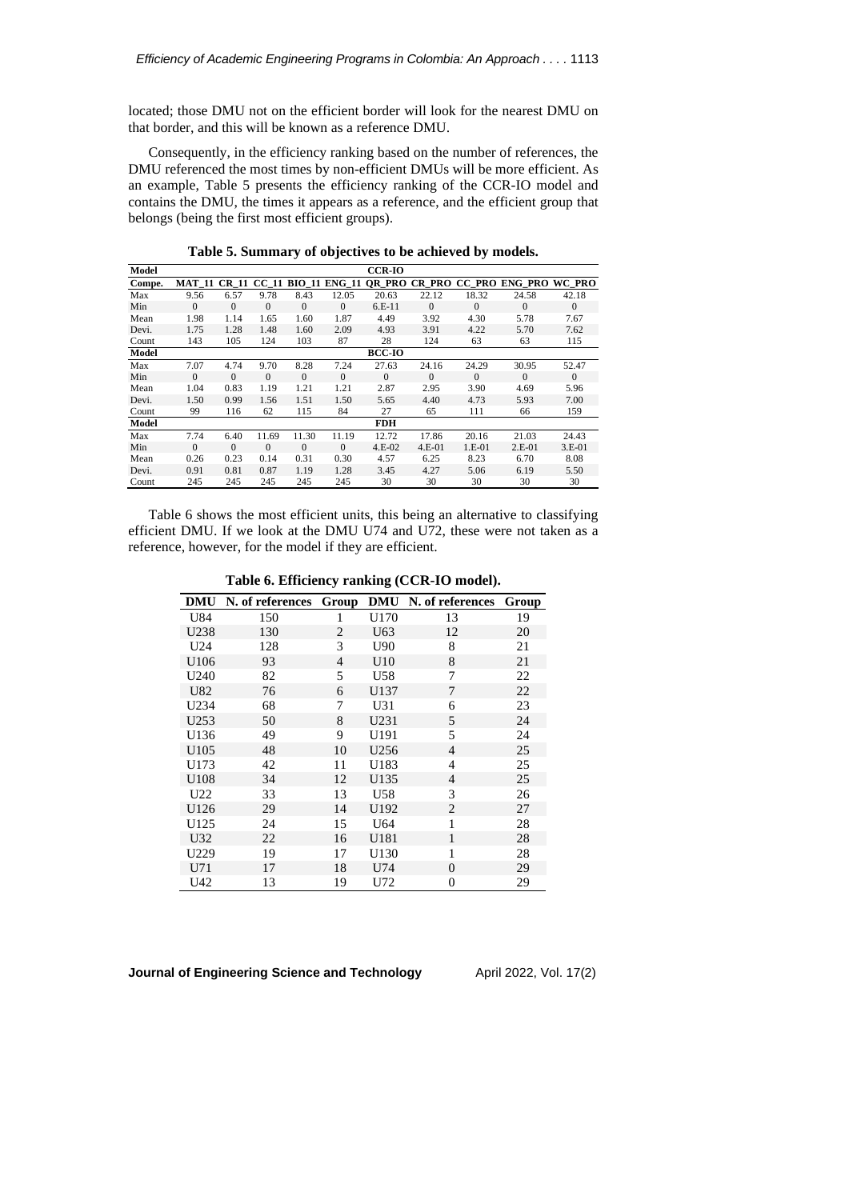located; those DMU not on the efficient border will look for the nearest DMU on that border, and this will be known as a reference DMU.

Consequently, in the efficiency ranking based on the number of references, the DMU referenced the most times by non-efficient DMUs will be more efficient. As an example, Table 5 presents the efficiency ranking of the CCR-IO model and contains the DMU, the times it appears as a reference, and the efficient group that belongs (being the first most efficient groups).

| Model  |          |              |          |              |                     | <b>CCR-IO</b> |          |          |                              |          |
|--------|----------|--------------|----------|--------------|---------------------|---------------|----------|----------|------------------------------|----------|
| Compe. | MAT 11   | <b>CR 11</b> |          |              | CC 11 BIO 11 ENG 11 |               |          |          | OR PRO CR PRO CC PRO ENG PRO | WC PRO   |
| Max    | 9.56     | 6.57         | 9.78     | 8.43         | 12.05               | 20.63         | 22.12    | 18.32    | 24.58                        | 42.18    |
| Min    | $\Omega$ | $\Omega$     | $\Omega$ | $\mathbf{0}$ | $\Omega$            | $6.E-11$      | $\Omega$ | $\Omega$ | $\Omega$                     | $\Omega$ |
| Mean   | 1.98     | 1.14         | 1.65     | 1.60         | 1.87                | 4.49          | 3.92     | 4.30     | 5.78                         | 7.67     |
| Devi.  | 1.75     | 1.28         | 1.48     | 1.60         | 2.09                | 4.93          | 3.91     | 4.22     | 5.70                         | 7.62     |
| Count  | 143      | 105          | 124      | 103          | 87                  | 28            | 124      | 63       | 63                           | 115      |
| Model  |          |              |          |              |                     | <b>BCC-IO</b> |          |          |                              |          |
| Max    | 7.07     | 4.74         | 9.70     | 8.28         | 7.24                | 27.63         | 24.16    | 24.29    | 30.95                        | 52.47    |
| Min    | $\Omega$ | $\Omega$     | $\Omega$ | $\Omega$     | $\mathbf{0}$        | $\Omega$      | $\Omega$ | $\Omega$ | $\Omega$                     | $\Omega$ |
| Mean   | 1.04     | 0.83         | 1.19     | 1.21         | 1.21                | 2.87          | 2.95     | 3.90     | 4.69                         | 5.96     |
| Devi.  | 1.50     | 0.99         | 1.56     | 1.51         | 1.50                | 5.65          | 4.40     | 4.73     | 5.93                         | 7.00     |
| Count  | 99       | 116          | 62       | 115          | 84                  | 27            | 65       | 111      | 66                           | 159      |
| Model  |          |              |          |              |                     | <b>FDH</b>    |          |          |                              |          |
| Max    | 7.74     | 6.40         | 11.69    | 11.30        | 11.19               | 12.72         | 17.86    | 20.16    | 21.03                        | 24.43    |
| Min    | $\Omega$ | $\Omega$     | $\Omega$ | $\Omega$     | $\Omega$            | $4.E-02$      | $4.E-01$ | $1.E-01$ | $2.E-01$                     | $3.E-01$ |
| Mean   | 0.26     | 0.23         | 0.14     | 0.31         | 0.30                | 4.57          | 6.25     | 8.23     | 6.70                         | 8.08     |
| Devi.  | 0.91     | 0.81         | 0.87     | 1.19         | 1.28                | 3.45          | 4.27     | 5.06     | 6.19                         | 5.50     |
| Count  | 245      | 245          | 245      | 245          | 245                 | 30            | 30       | 30       | 30                           | 30       |

**Table 5. Summary of objectives to be achieved by models.**

Table 6 shows the most efficient units, this being an alternative to classifying efficient DMU. If we look at the DMU U74 and U72, these were not taken as a reference, however, for the model if they are efficient.

**Table 6. Efficiency ranking (CCR-IO model).**

| DMU             | N. of references | Group | <b>DMU</b>      | N. of references | Group |
|-----------------|------------------|-------|-----------------|------------------|-------|
| U84             | 150              | 1     | U170            | 13               | 19    |
| U238            | 130              | 2     | U <sub>63</sub> | 12               | 20    |
| U24             | 128              | 3     | U90             | 8                | 21    |
| U106            | 93               | 4     | U10             | 8                | 21    |
| U240            | 82               | 5     | U58             | 7                | 22    |
| U82             | 76               | 6     | U137            | 7                | 22    |
| U234            | 68               | 7     | U31             | 6                | 23    |
| U253            | 50               | 8     | U231            | 5                | 24    |
| U136            | 49               | 9     | U191            | 5                | 24    |
| U105            | 48               | 10    | U256            | $\overline{4}$   | 25    |
| U173            | 42               | 11    | U183            | $\overline{4}$   | 25    |
| U108            | 34               | 12    | U135            | 4                | 25    |
| U <sub>22</sub> | 33               | 13    | U58             | 3                | 26    |
| U126            | 29               | 14    | U192            | $\overline{2}$   | 27    |
| U125            | 24               | 15    | U64             | 1                | 28    |
| U32             | 22               | 16    | U181            | 1                | 28    |
| U229            | 19               | 17    | U130            | 1                | 28    |
| U71             | 17               | 18    | U74             | $\theta$         | 29    |
| U42             | 13               | 19    | U72             | 0                | 29    |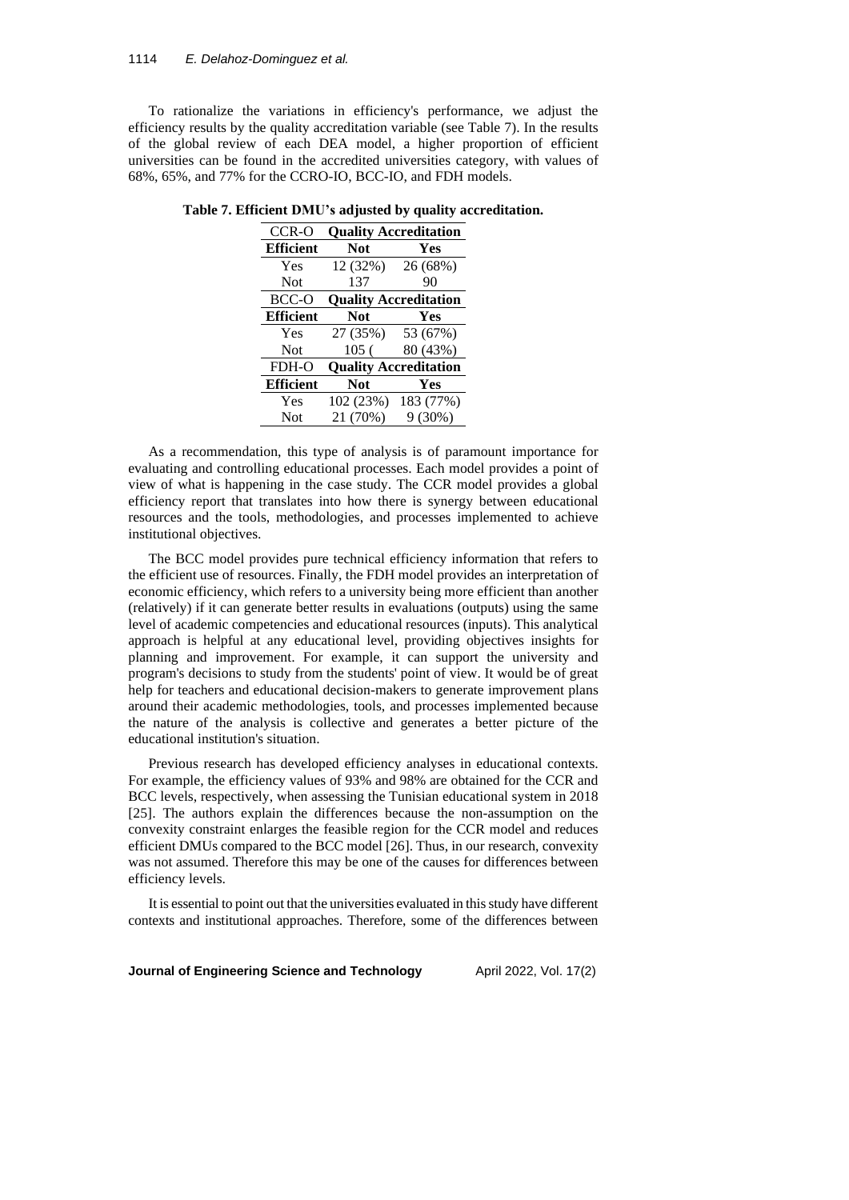#### 1114 *E. Delahoz-Dominguez et al.*

To rationalize the variations in efficiency's performance, we adjust the efficiency results by the quality accreditation variable (see Table 7). In the results of the global review of each DEA model, a higher proportion of efficient universities can be found in the accredited universities category, with values of 68%, 65%, and 77% for the CCRO-IO, BCC-IO, and FDH models.

| CCR-O            | <b>Quality Accreditation</b> |                              |  |  |  |  |
|------------------|------------------------------|------------------------------|--|--|--|--|
| <b>Efficient</b> | <b>Not</b>                   | Yes                          |  |  |  |  |
| Yes              | 12 (32%)                     | 26 (68%)                     |  |  |  |  |
| <b>Not</b>       | 137                          | 90                           |  |  |  |  |
| BCC-O            |                              | <b>Quality Accreditation</b> |  |  |  |  |
| <b>Efficient</b> | <b>Not</b>                   | Yes                          |  |  |  |  |
| <b>Yes</b>       | 27 (35%)                     | 53 (67%)                     |  |  |  |  |
| <b>Not</b>       | 105(                         | 80 (43%)                     |  |  |  |  |
| FDH-O            | <b>Quality Accreditation</b> |                              |  |  |  |  |
| <b>Efficient</b> | <b>Not</b>                   | Yes                          |  |  |  |  |
| Yes              | 102 (23%)                    | 183 (77%)                    |  |  |  |  |
| <b>Not</b>       | 21 (70%)                     | 9 (30%)                      |  |  |  |  |

**Table 7. Efficient DMU's adjusted by quality accreditation.**

As a recommendation, this type of analysis is of paramount importance for evaluating and controlling educational processes. Each model provides a point of view of what is happening in the case study. The CCR model provides a global efficiency report that translates into how there is synergy between educational resources and the tools, methodologies, and processes implemented to achieve institutional objectives.

The BCC model provides pure technical efficiency information that refers to the efficient use of resources. Finally, the FDH model provides an interpretation of economic efficiency, which refers to a university being more efficient than another (relatively) if it can generate better results in evaluations (outputs) using the same level of academic competencies and educational resources (inputs). This analytical approach is helpful at any educational level, providing objectives insights for planning and improvement. For example, it can support the university and program's decisions to study from the students' point of view. It would be of great help for teachers and educational decision-makers to generate improvement plans around their academic methodologies, tools, and processes implemented because the nature of the analysis is collective and generates a better picture of the educational institution's situation.

Previous research has developed efficiency analyses in educational contexts. For example, the efficiency values of 93% and 98% are obtained for the CCR and BCC levels, respectively, when assessing the Tunisian educational system in 2018 [25]. The authors explain the differences because the non-assumption on the convexity constraint enlarges the feasible region for the CCR model and reduces efficient DMUs compared to the BCC model [26]. Thus, in our research, convexity was not assumed. Therefore this may be one of the causes for differences between efficiency levels.

It is essential to point out that the universities evaluated in this study have different contexts and institutional approaches. Therefore, some of the differences between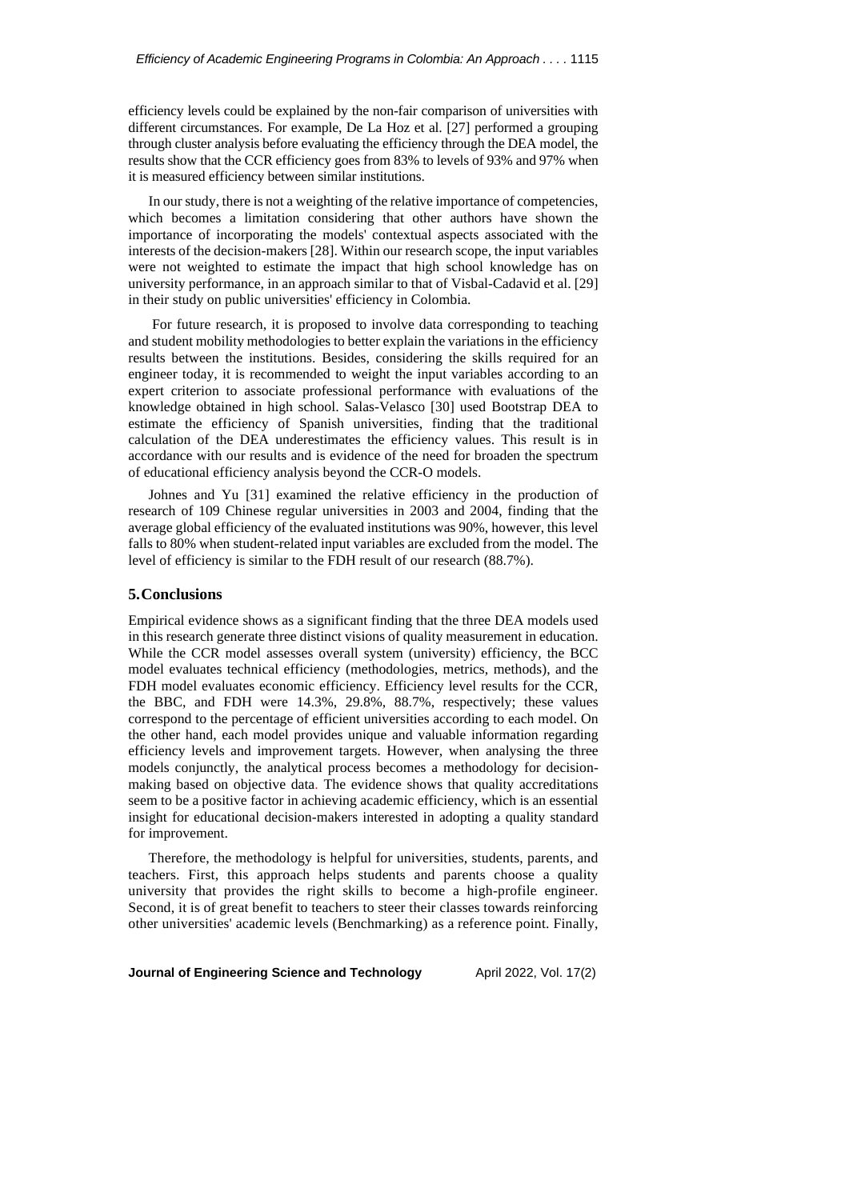efficiency levels could be explained by the non-fair comparison of universities with different circumstances. For example, De La Hoz et al. [27] performed a grouping through cluster analysis before evaluating the efficiency through the DEA model, the results show that the CCR efficiency goes from 83% to levels of 93% and 97% when it is measured efficiency between similar institutions.

In our study, there is not a weighting of the relative importance of competencies, which becomes a limitation considering that other authors have shown the importance of incorporating the models' contextual aspects associated with the interests of the decision-makers [28]. Within our research scope, the input variables were not weighted to estimate the impact that high school knowledge has on university performance, in an approach similar to that of Visbal-Cadavid et al. [29] in their study on public universities' efficiency in Colombia.

For future research, it is proposed to involve data corresponding to teaching and student mobility methodologies to better explain the variations in the efficiency results between the institutions. Besides, considering the skills required for an engineer today, it is recommended to weight the input variables according to an expert criterion to associate professional performance with evaluations of the knowledge obtained in high school. Salas-Velasco [30] used Bootstrap DEA to estimate the efficiency of Spanish universities, finding that the traditional calculation of the DEA underestimates the efficiency values. This result is in accordance with our results and is evidence of the need for broaden the spectrum of educational efficiency analysis beyond the CCR-O models.

Johnes and Yu [31] examined the relative efficiency in the production of research of 109 Chinese regular universities in 2003 and 2004, finding that the average global efficiency of the evaluated institutions was 90%, however, this level falls to 80% when student-related input variables are excluded from the model. The level of efficiency is similar to the FDH result of our research (88.7%).

#### **5.Conclusions**

Empirical evidence shows as a significant finding that the three DEA models used in this research generate three distinct visions of quality measurement in education. While the CCR model assesses overall system (university) efficiency, the BCC model evaluates technical efficiency (methodologies, metrics, methods), and the FDH model evaluates economic efficiency. Efficiency level results for the CCR, the BBC, and FDH were 14.3%, 29.8%, 88.7%, respectively; these values correspond to the percentage of efficient universities according to each model. On the other hand, each model provides unique and valuable information regarding efficiency levels and improvement targets. However, when analysing the three models conjunctly, the analytical process becomes a methodology for decisionmaking based on objective data. The evidence shows that quality accreditations seem to be a positive factor in achieving academic efficiency, which is an essential insight for educational decision-makers interested in adopting a quality standard for improvement.

Therefore, the methodology is helpful for universities, students, parents, and teachers. First, this approach helps students and parents choose a quality university that provides the right skills to become a high-profile engineer. Second, it is of great benefit to teachers to steer their classes towards reinforcing other universities' academic levels (Benchmarking) as a reference point. Finally,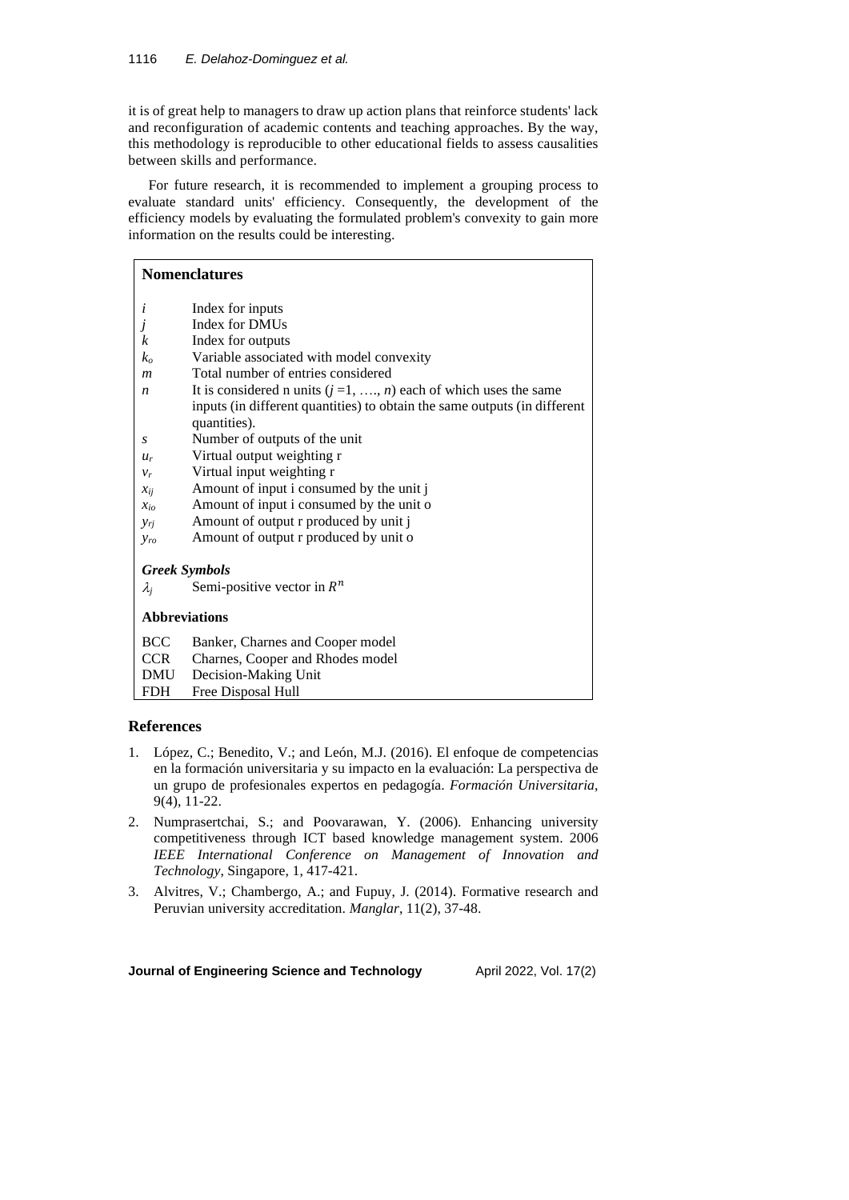it is of great help to managers to draw up action plans that reinforce students' lack and reconfiguration of academic contents and teaching approaches. By the way, this methodology is reproducible to other educational fields to assess causalities between skills and performance.

For future research, it is recommended to implement a grouping process to evaluate standard units' efficiency. Consequently, the development of the efficiency models by evaluating the formulated problem's convexity to gain more information on the results could be interesting.

|                  | <b>Nomenclatures</b>                                                      |
|------------------|---------------------------------------------------------------------------|
| i                | Index for inputs                                                          |
|                  | Index for DMUs                                                            |
| k                | Index for outputs                                                         |
| $k_o$            | Variable associated with model convexity                                  |
| $\boldsymbol{m}$ | Total number of entries considered                                        |
| n                | It is considered n units $(j = 1, , n)$ each of which uses the same       |
|                  | inputs (in different quantities) to obtain the same outputs (in different |
|                  | quantities).                                                              |
| S                | Number of outputs of the unit                                             |
| $u_r$            | Virtual output weighting r                                                |
| $v_r$            | Virtual input weighting r                                                 |
| $x_{ii}$         | Amount of input i consumed by the unit j                                  |
| $x_{io}$         | Amount of input i consumed by the unit o                                  |
| $y_{ri}$         | Amount of output r produced by unit j                                     |
| <b>yro</b>       | Amount of output r produced by unit o                                     |
|                  | <b>Greek Symbols</b>                                                      |
| $\lambda_i$      | Semi-positive vector in $R^n$                                             |
|                  | <b>Abbreviations</b>                                                      |

BCC Banker, Charnes and Cooper model

- CCR Charnes, Cooper and Rhodes model
- DMU Decision-Making Unit FDH Free Disposal Hull

# **References**

- 1. López, C.; Benedito, V.; and León, M.J. (2016). El enfoque de competencias en la formación universitaria y su impacto en la evaluación: La perspectiva de un grupo de profesionales expertos en pedagogía. *Formación Universitaria*, 9(4), 11-22.
- 2. Numprasertchai, S.; and Poovarawan, Y. (2006). Enhancing university competitiveness through ICT based knowledge management system. 2006 *IEEE International Conference on Management of Innovation and Technology*, Singapore, 1, 417-421.
- 3. Alvitres, V.; Chambergo, A.; and Fupuy, J. (2014). Formative research and Peruvian university accreditation. *Manglar*, 11(2), 37-48.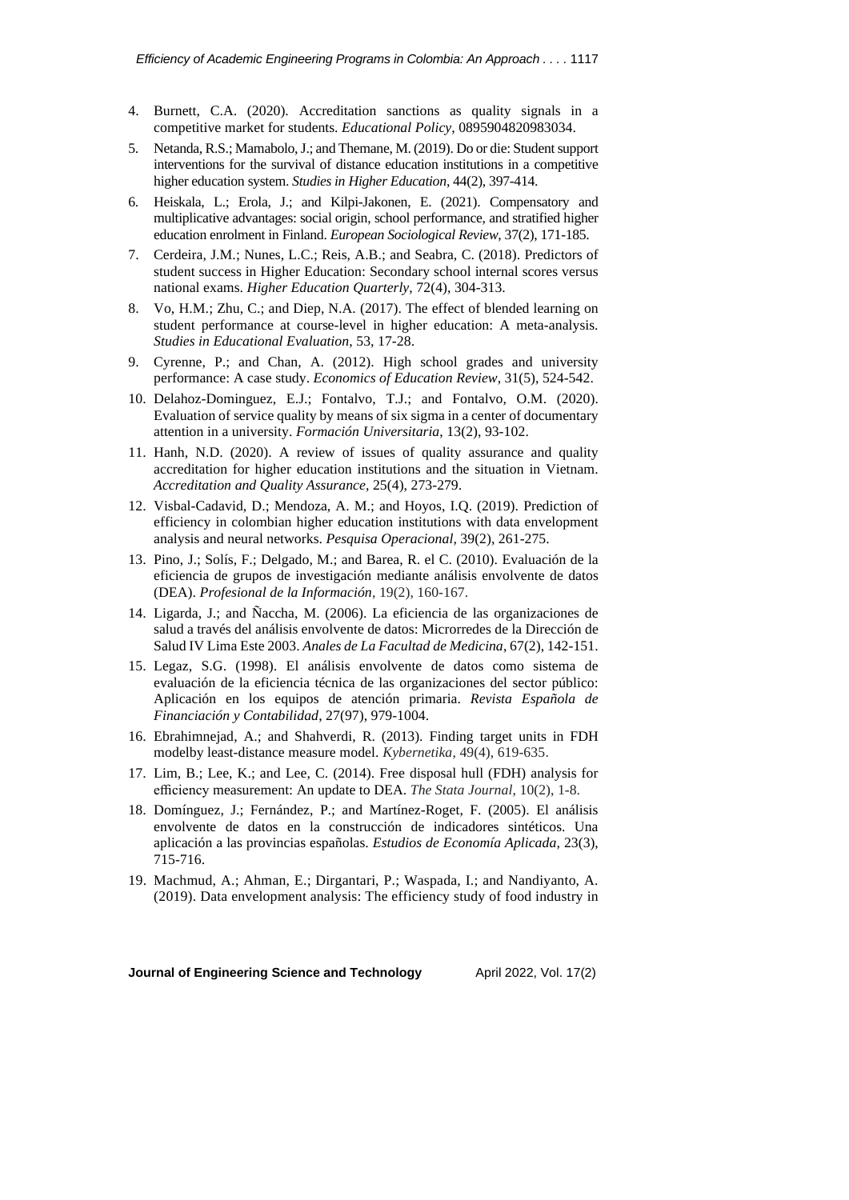- 4. Burnett, C.A. (2020). Accreditation sanctions as quality signals in a competitive market for students. *Educational Policy*, 0895904820983034.
- 5. Netanda, R.S.; Mamabolo, J.; and Themane, M. (2019). Do or die: Student support interventions for the survival of distance education institutions in a competitive higher education system. *Studies in Higher Education*, 44(2), 397-414.
- 6. Heiskala, L.; Erola, J.; and Kilpi-Jakonen, E. (2021). Compensatory and multiplicative advantages: social origin, school performance, and stratified higher education enrolment in Finland. *European Sociological Review*, 37(2), 171-185.
- 7. Cerdeira, J.M.; Nunes, L.C.; Reis, A.B.; and Seabra, C. (2018). Predictors of student success in Higher Education: Secondary school internal scores versus national exams. *Higher Education Quarterly*, 72(4), 304-313.
- 8. Vo, H.M.; Zhu, C.; and Diep, N.A. (2017). The effect of blended learning on student performance at course-level in higher education: A meta-analysis. *Studies in Educational Evaluation*, 53, 17-28.
- 9. Cyrenne, P.; and Chan, A. (2012). High school grades and university performance: A case study. *Economics of Education Review*, 31(5), 524-542.
- 10. Delahoz-Dominguez, E.J.; Fontalvo, T.J.; and Fontalvo, O.M. (2020). Evaluation of service quality by means of six sigma in a center of documentary attention in a university. *Formación Universitaria*, 13(2), 93-102.
- 11. Hanh, N.D. (2020). A review of issues of quality assurance and quality accreditation for higher education institutions and the situation in Vietnam. *Accreditation and Quality Assurance*, 25(4), 273-279.
- 12. Visbal-Cadavid, D.; Mendoza, A. M.; and Hoyos, I.Q. (2019). Prediction of efficiency in colombian higher education institutions with data envelopment analysis and neural networks. *Pesquisa Operacional*, 39(2), 261-275.
- 13. Pino, J.; Solís, F.; Delgado, M.; and Barea, R. el C. (2010). Evaluación de la eficiencia de grupos de investigación mediante análisis envolvente de datos (DEA). *Profesional de la Información*, 19(2), 160-167.
- 14. Ligarda, J.; and Ñaccha, M. (2006). La eficiencia de las organizaciones de salud a través del análisis envolvente de datos: Microrredes de la Dirección de Salud IV Lima Este 2003. *Anales de La Facultad de Medicina*, 67(2), 142-151.
- 15. Legaz, S.G. (1998). El análisis envolvente de datos como sistema de evaluación de la eficiencia técnica de las organizaciones del sector público: Aplicación en los equipos de atención primaria. *Revista Española de Financiación y Contabilidad*, 27(97), 979-1004.
- 16. Ebrahimnejad, A.; and Shahverdi, R. (2013). Finding target units in FDH modelby least-distance measure model. *Kybernetika*, 49(4), 619-635.
- 17. Lim, B.; Lee, K.; and Lee, C. (2014). Free disposal hull (FDH) analysis for efficiency measurement: An update to DEA. *The Stata Journal*, 10(2), 1-8.
- 18. Domínguez, J.; Fernández, P.; and Martínez-Roget, F. (2005). El análisis envolvente de datos en la construcción de indicadores sintéticos. Una aplicación a las provincias españolas. *Estudios de Economía Aplicada,* 23(3), 715-716.
- 19. Machmud, A.; Ahman, E.; Dirgantari, P.; Waspada, I.; and Nandiyanto, A. (2019). Data envelopment analysis: The efficiency study of food industry in